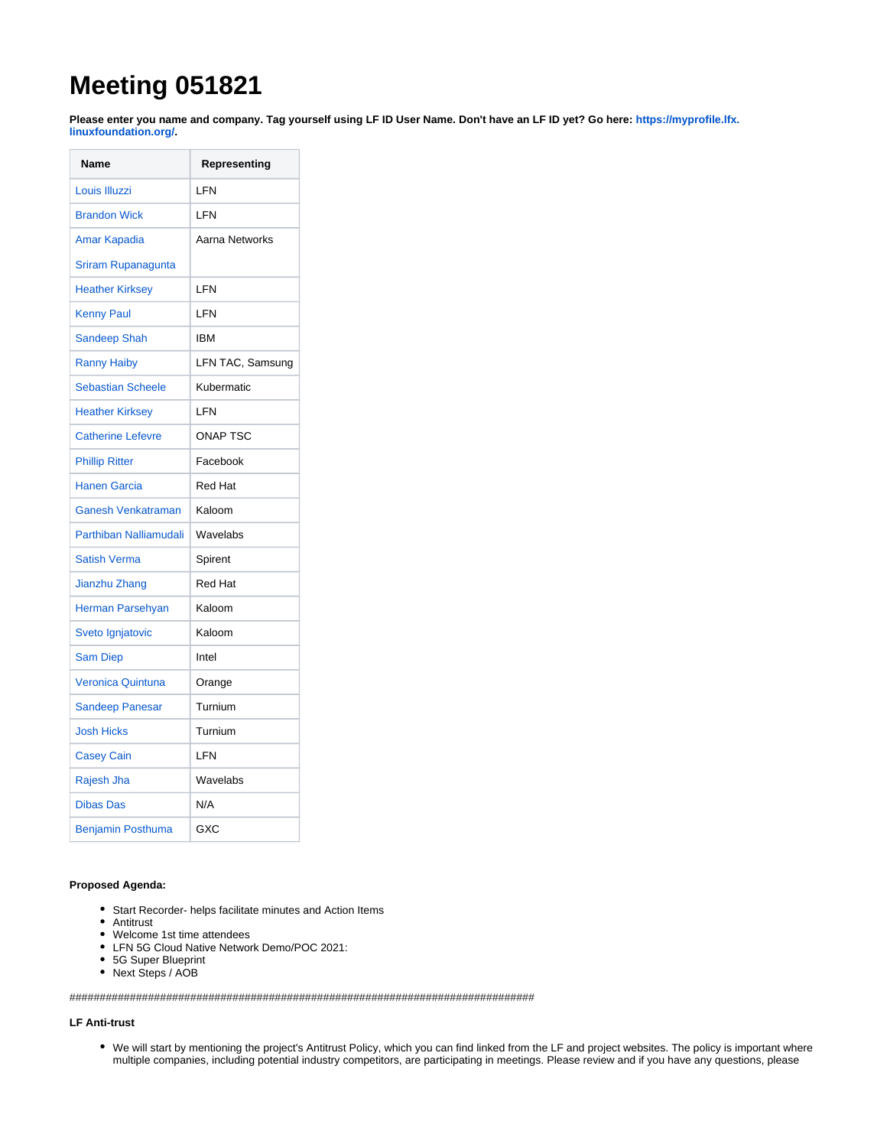# **Meeting 051821**

**Please enter you name and company. Tag yourself using LF ID User Name. Don't have an LF ID yet? Go here: [https://myprofile.lfx.](https://myprofile.lfx.linuxfoundation.org/) [linuxfoundation.org/.](https://myprofile.lfx.linuxfoundation.org/)** 

| Name                      | Representing     |
|---------------------------|------------------|
| Louis Illuzzi             | LFN              |
| <b>Brandon Wick</b>       | LFN              |
| <b>Amar Kapadia</b>       | Aarna Networks   |
| Sriram Rupanagunta        |                  |
| <b>Heather Kirksey</b>    | LFN              |
| <b>Kenny Paul</b>         | LFN              |
| <b>Sandeep Shah</b>       | <b>IBM</b>       |
| <b>Ranny Haiby</b>        | LFN TAC, Samsung |
| <b>Sebastian Scheele</b>  | Kubermatic       |
| <b>Heather Kirksey</b>    | LFN              |
| <b>Catherine Lefevre</b>  | <b>ONAP TSC</b>  |
| <b>Phillip Ritter</b>     | Facebook         |
| <b>Hanen Garcia</b>       | <b>Red Hat</b>   |
| <b>Ganesh Venkatraman</b> | Kaloom           |
| Parthiban Nalliamudali    | Wavelabs         |
| <b>Satish Verma</b>       | Spirent          |
| Jianzhu Zhang             | <b>Red Hat</b>   |
| Herman Parsehyan          | Kaloom           |
| Sveto Ignjatovic          | Kaloom           |
| <b>Sam Diep</b>           | Intel            |
| <b>Veronica Quintuna</b>  | Orange           |
| <b>Sandeep Panesar</b>    | Turnium          |
| <b>Josh Hicks</b>         | Turnium          |
| <b>Casey Cain</b>         | LFN              |
| Rajesh Jha                | Wavelabs         |
| <b>Dibas Das</b>          | N/A              |
| Benjamin Posthuma         | GXC              |

# **Proposed Agenda:**

- Start Recorder- helps facilitate minutes and Action Items
- Antitrust
- Welcome 1st time attendees
- LFN 5G Cloud Native Network Demo/POC 2021:
- 5G Super Blueprint
- Next Steps / AOB

#############################################################################

# **LF Anti-trust**

We will start by mentioning the project's Antitrust Policy, which you can find linked from the LF and project websites. The policy is important where multiple companies, including potential industry competitors, are participating in meetings. Please review and if you have any questions, please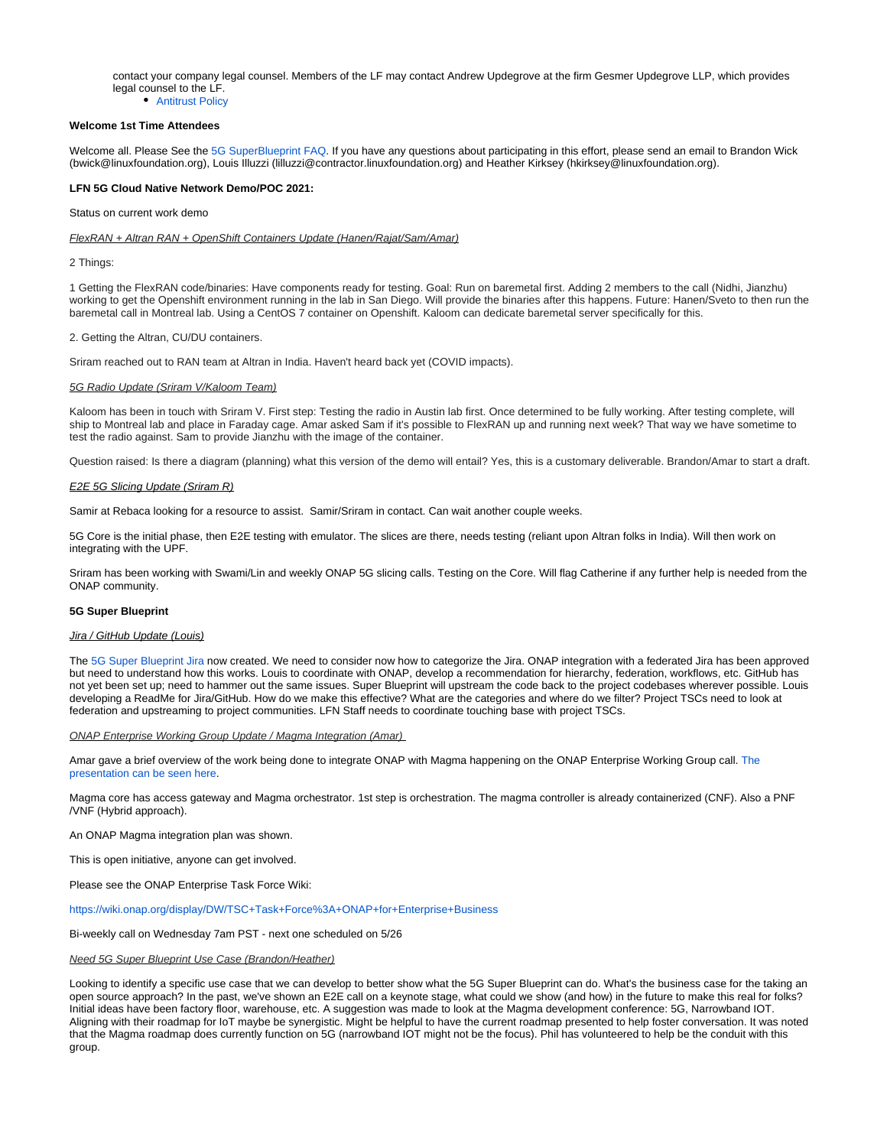contact your company legal counsel. Members of the LF may contact Andrew Updegrove at the firm Gesmer Updegrove LLP, which provides legal counsel to the LF.

• [Antitrust Policy](https://r.lfnetworking.org/Antitrust%20Slide.pdf)

# **Welcome 1st Time Attendees**

Welcome all. Please See the [5G SuperBlueprint FAQ](https://wiki.lfnetworking.org/x/y4BXAw). If you have any questions about participating in this effort, please send an email to Brandon Wick (bwick@[linuxfoundation.org](http://linuxfoundation.org)), Louis Illuzzi (lilluzzi@[contractor.linuxfoundation.org\)](http://contractor.linuxfoundation.org) and Heather Kirksey (hkirksey@linuxfoundation.org).

## **LFN 5G Cloud Native Network Demo/POC 2021:**

Status on current work demo

FlexRAN + Altran RAN + OpenShift Containers Update (Hanen/Rajat/Sam/Amar)

2 Things:

1 Getting the FlexRAN code/binaries: Have components ready for testing. Goal: Run on baremetal first. Adding 2 members to the call (Nidhi, Jianzhu) working to get the Openshift environment running in the lab in San Diego. Will provide the binaries after this happens. Future: Hanen/Sveto to then run the baremetal call in Montreal lab. Using a CentOS 7 container on Openshift. Kaloom can dedicate baremetal server specifically for this.

#### 2. Getting the Altran, CU/DU containers.

Sriram reached out to RAN team at Altran in India. Haven't heard back yet (COVID impacts).

#### 5G Radio Update (Sriram V/Kaloom Team)

Kaloom has been in touch with Sriram V. First step: Testing the radio in Austin lab first. Once determined to be fully working. After testing complete, will ship to Montreal lab and place in Faraday cage. Amar asked Sam if it's possible to FlexRAN up and running next week? That way we have sometime to test the radio against. Sam to provide Jianzhu with the image of the container.

Question raised: Is there a diagram (planning) what this version of the demo will entail? Yes, this is a customary deliverable. Brandon/Amar to start a draft.

#### E2E 5G Slicing Update (Sriram R)

Samir at Rebaca looking for a resource to assist. Samir/Sriram in contact. Can wait another couple weeks.

5G Core is the initial phase, then E2E testing with emulator. The slices are there, needs testing (reliant upon Altran folks in India). Will then work on integrating with the UPF.

Sriram has been working with Swami/Lin and weekly ONAP 5G slicing calls. Testing on the Core. Will flag Catherine if any further help is needed from the ONAP community.

## **5G Super Blueprint**

#### Jira / GitHub Update (Louis)

The [5G Super Blueprint Jira](https://jira.lfnetworking.org/projects/BLUEPRINT/summary) now created. We need to consider now how to categorize the Jira. ONAP integration with a federated Jira has been approved but need to understand how this works. Louis to coordinate with ONAP, develop a recommendation for hierarchy, federation, workflows, etc. GitHub has not yet been set up; need to hammer out the same issues. Super Blueprint will upstream the code back to the project codebases wherever possible. Louis developing a ReadMe for Jira/GitHub. How do we make this effective? What are the categories and where do we filter? Project TSCs need to look at federation and upstreaming to project communities. LFN Staff needs to coordinate touching base with project TSCs.

#### ONAP Enterprise Working Group Update / Magma Integration (Amar)

Amar gave a brief overview of the work being done to integrate ONAP with Magma happening on the ONAP Enterprise Working Group call. The [presentation can be seen here](https://docs.google.com/presentation/d/1xOtLOqAXZ6dRNH2d_ETIFXbJkcx3B5yw2oUdFgXVCmI/edit).

Magma core has access gateway and Magma orchestrator. 1st step is orchestration. The magma controller is already containerized (CNF). Also a PNF /VNF (Hybrid approach).

An ONAP Magma integration plan was shown.

This is open initiative, anyone can get involved.

Please see the ONAP Enterprise Task Force Wiki:

## <https://wiki.onap.org/display/DW/TSC+Task+Force%3A+ONAP+for+Enterprise+Business>

Bi-weekly call on Wednesday 7am PST - next one scheduled on 5/26

#### Need 5G Super Blueprint Use Case (Brandon/Heather)

Looking to identify a specific use case that we can develop to better show what the 5G Super Blueprint can do. What's the business case for the taking an open source approach? In the past, we've shown an E2E call on a keynote stage, what could we show (and how) in the future to make this real for folks? Initial ideas have been factory floor, warehouse, etc. A suggestion was made to look at the Magma development conference: 5G, Narrowband IOT. Aligning with their roadmap for IoT maybe be synergistic. Might be helpful to have the current roadmap presented to help foster conversation. It was noted that the Magma roadmap does currently function on 5G (narrowband IOT might not be the focus). Phil has volunteered to help be the conduit with this group.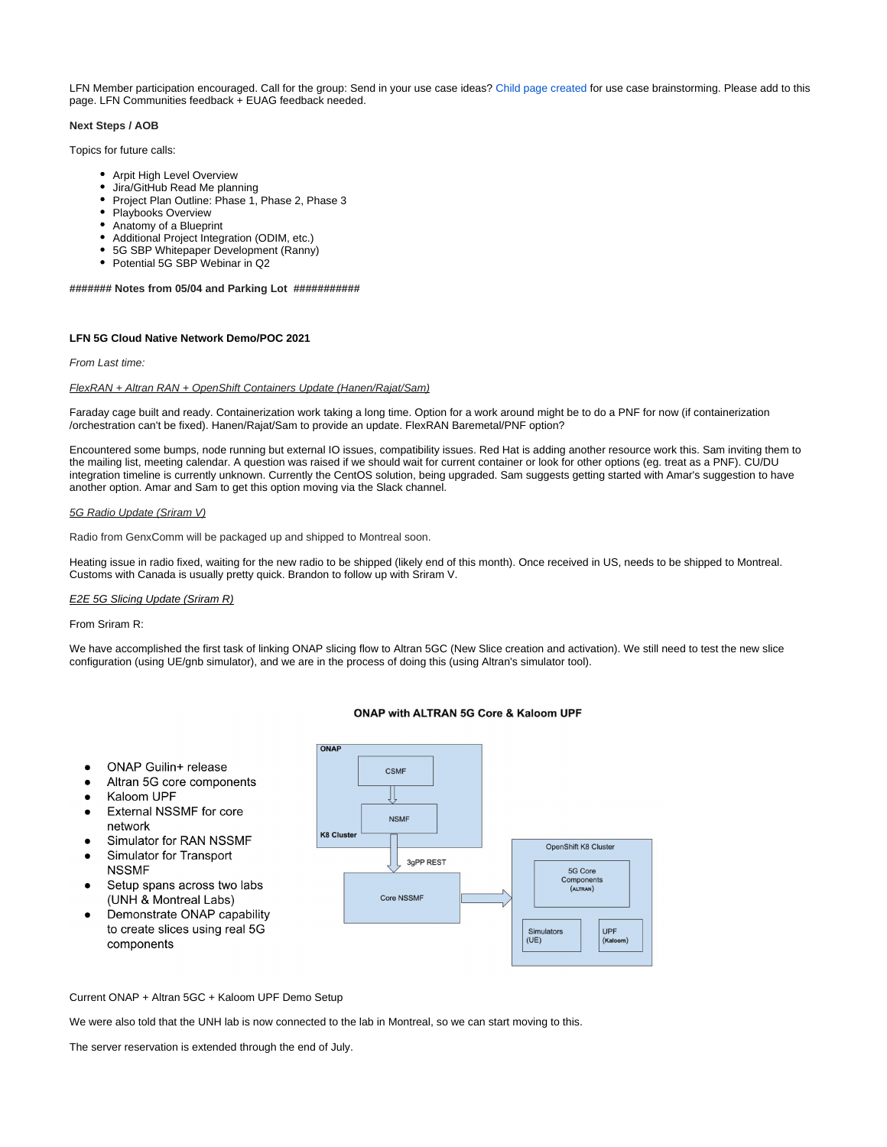LFN Member participation encouraged. Call for the group: Send in your use case ideas? [Child page created](https://wiki.lfnetworking.org/x/eoNXAw) for use case brainstorming. Please add to this page. LFN Communities feedback + EUAG feedback needed.

# **Next Steps / AOB**

Topics for future calls:

- Arpit High Level Overview
- Jira/GitHub Read Me planning
- Project Plan Outline: Phase 1, Phase 2, Phase 3
- Playbooks Overview
- Anatomy of a Blueprint
- Additional Project Integration (ODIM, etc.)
- 5G SBP Whitepaper Development (Ranny)
- Potential 5G SBP Webinar in Q2

## **####### Notes from 05/04 and Parking Lot ###########**

## **LFN 5G Cloud Native Network Demo/POC 2021**

#### From Last time:

# FlexRAN + Altran RAN + OpenShift Containers Update (Hanen/Rajat/Sam)

Faraday cage built and ready. Containerization work taking a long time. Option for a work around might be to do a PNF for now (if containerization /orchestration can't be fixed). Hanen/Rajat/Sam to provide an update. FlexRAN Baremetal/PNF option?

Encountered some bumps, node running but external IO issues, compatibility issues. Red Hat is adding another resource work this. Sam inviting them to the mailing list, meeting calendar. A question was raised if we should wait for current container or look for other options (eg. treat as a PNF). CU/DU integration timeline is currently unknown. Currently the CentOS solution, being upgraded. Sam suggests getting started with Amar's suggestion to have another option. Amar and Sam to get this option moving via the Slack channel.

## 5G Radio Update (Sriram V)

Radio from GenxComm will be packaged up and shipped to Montreal soon.

Heating issue in radio fixed, waiting for the new radio to be shipped (likely end of this month). Once received in US, needs to be shipped to Montreal. Customs with Canada is usually pretty quick. Brandon to follow up with Sriram V.

# **E2E 5G Slicing Update (Sriram R)**

ONAP Guilin+ release

Kaloom UPF

network

**NSSMF** 

components

Altran 5G core components

**External NSSMF for core** 

Simulator for RAN NSSMF

Setup spans across two labs

Simulator for Transport

(UNH & Montreal Labs) Demonstrate ONAP capability to create slices using real 5G

#### From Sriram R:

 $\bullet$ 

 $\bullet$ 

 $\bullet$ 

We have accomplished the first task of linking ONAP slicing flow to Altran 5GC (New Slice creation and activation). We still need to test the new slice configuration (using UE/gnb simulator), and we are in the process of doing this (using Altran's simulator tool).

# ONAP CSME **NSMF K8 Cluster** OpenShift K8 Cluster 3gPP REST 5G Core Components<br>(ALTRAN) Core NSSMF Simulators UPF  $(UE)$ (Kalor

# **ONAP with ALTRAN 5G Core & Kaloom UPF**

Current ONAP + Altran 5GC + Kaloom UPF Demo Setup

We were also told that the UNH lab is now connected to the lab in Montreal, so we can start moving to this.

The server reservation is extended through the end of July.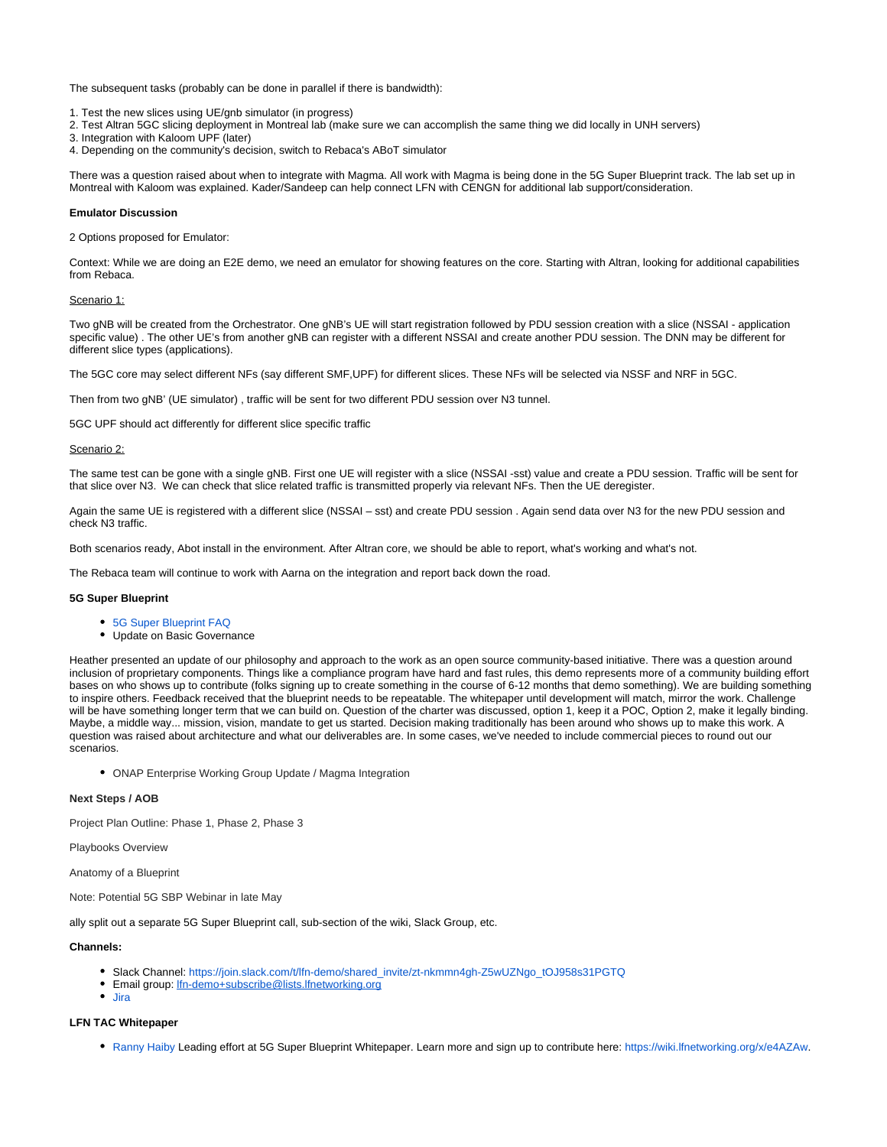The subsequent tasks (probably can be done in parallel if there is bandwidth):

1. Test the new slices using UE/gnb simulator (in progress)

- 2. Test Altran 5GC slicing deployment in Montreal lab (make sure we can accomplish the same thing we did locally in UNH servers)
- 3. Integration with Kaloom UPF (later)

4. Depending on the community's decision, switch to Rebaca's ABoT simulator

There was a question raised about when to integrate with Magma. All work with Magma is being done in the 5G Super Blueprint track. The lab set up in Montreal with Kaloom was explained. Kader/Sandeep can help connect LFN with CENGN for additional lab support/consideration.

## **Emulator Discussion**

2 Options proposed for Emulator:

Context: While we are doing an E2E demo, we need an emulator for showing features on the core. Starting with Altran, looking for additional capabilities from Rebaca.

## Scenario 1:

Two gNB will be created from the Orchestrator. One gNB's UE will start registration followed by PDU session creation with a slice (NSSAI - application specific value) . The other UE's from another gNB can register with a different NSSAI and create another PDU session. The DNN may be different for different slice types (applications).

The 5GC core may select different NFs (say different SMF,UPF) for different slices. These NFs will be selected via NSSF and NRF in 5GC.

Then from two gNB' (UE simulator) , traffic will be sent for two different PDU session over N3 tunnel.

5GC UPF should act differently for different slice specific traffic

#### Scenario 2:

The same test can be gone with a single gNB. First one UE will register with a slice (NSSAI -sst) value and create a PDU session. Traffic will be sent for that slice over N3. We can check that slice related traffic is transmitted properly via relevant NFs. Then the UE deregister.

Again the same UE is registered with a different slice (NSSAI – sst) and create PDU session . Again send data over N3 for the new PDU session and check N3 traffic.

Both scenarios ready, Abot install in the environment. After Altran core, we should be able to report, what's working and what's not.

The Rebaca team will continue to work with Aarna on the integration and report back down the road.

#### **5G Super Blueprint**

- [5G Super Blueprint FAQ](http://5g%20cloud%20native%20network/)
- Update on Basic Governance

Heather presented an update of our philosophy and approach to the work as an open source community-based initiative. There was a question around inclusion of proprietary components. Things like a compliance program have hard and fast rules, this demo represents more of a community building effort bases on who shows up to contribute (folks signing up to create something in the course of 6-12 months that demo something). We are building something to inspire others. Feedback received that the blueprint needs to be repeatable. The whitepaper until development will match, mirror the work. Challenge will be have something longer term that we can build on. Question of the charter was discussed, option 1, keep it a POC, Option 2, make it legally binding. Maybe, a middle way... mission, vision, mandate to get us started. Decision making traditionally has been around who shows up to make this work. A question was raised about architecture and what our deliverables are. In some cases, we've needed to include commercial pieces to round out our scenarios.

ONAP Enterprise Working Group Update / Magma Integration

#### **Next Steps / AOB**

Project Plan Outline: Phase 1, Phase 2, Phase 3

Playbooks Overview

Anatomy of a Blueprint

Note: Potential 5G SBP Webinar in late May

ally split out a separate 5G Super Blueprint call, sub-section of the wiki, Slack Group, etc.

## **Channels:**

- Slack Channel: [https://join.slack.com/t/lfn-demo/shared\\_invite/zt-nkmmn4gh-Z5wUZNgo\\_tOJ958s31PGTQ](https://join.slack.com/t/lfn-demo/shared_invite/zt-nkmmn4gh-Z5wUZNgo_tOJ958s31PGTQ)
- **Email group: [lfn-demo+subscribe@lists.lfnetworking.org](mailto:lfn-demo+subscribe@lists.lfnetworking.org)**
- [Jira](https://jira.lfnetworking.org/projects/GSBP/summary)

#### **LFN TAC Whitepaper**

[Ranny Haiby](https://wiki.lfnetworking.org/display/~rannyh) Leading effort at 5G Super Blueprint Whitepaper. Learn more and sign up to contribute here: [https://wiki.lfnetworking.org/x/e4AZAw.](https://wiki.lfnetworking.org/x/e4AZAw)